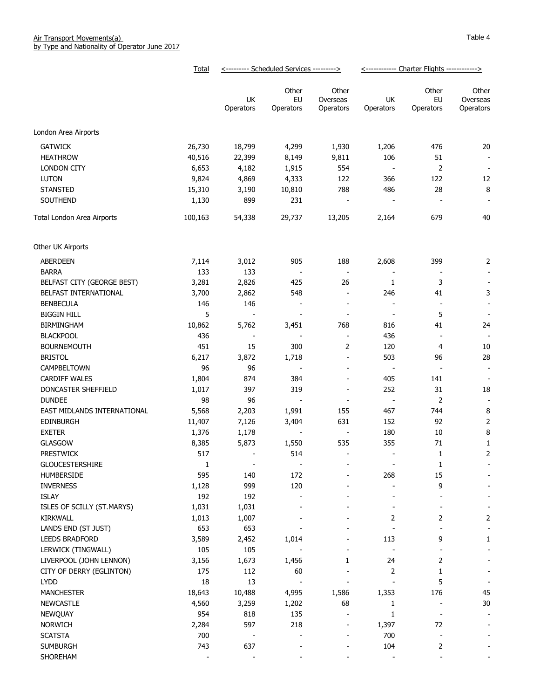|                                     | Total    | <--------- Scheduled Services ---------> |                                 |                                | <------------ Charter Flights ------------> |                          |                                |
|-------------------------------------|----------|------------------------------------------|---------------------------------|--------------------------------|---------------------------------------------|--------------------------|--------------------------------|
|                                     |          | UK<br>Operators                          | Other<br>EU<br>Operators        | Other<br>Overseas<br>Operators | UK<br>Operators                             | Other<br>EU<br>Operators | Other<br>Overseas<br>Operators |
| London Area Airports                |          |                                          |                                 |                                |                                             |                          |                                |
| <b>GATWICK</b>                      | 26,730   | 18,799                                   | 4,299                           | 1,930                          | 1,206                                       | 476                      | 20                             |
| <b>HEATHROW</b>                     | 40,516   | 22,399                                   | 8,149                           | 9,811                          | 106                                         | 51                       | $\overline{\phantom{a}}$       |
| <b>LONDON CITY</b>                  | 6,653    | 4,182                                    | 1,915                           | 554                            | $\overline{\phantom{a}}$                    | 2                        | $\blacksquare$                 |
| <b>LUTON</b>                        | 9,824    | 4,869                                    | 4,333                           | 122                            | 366                                         | 122                      | 12                             |
| <b>STANSTED</b>                     | 15,310   | 3,190                                    | 10,810                          | 788                            | 486                                         | 28                       | 8                              |
| SOUTHEND                            | 1,130    | 899                                      | 231                             | $\overline{\phantom{a}}$       | $\overline{\phantom{a}}$                    | $\overline{\phantom{a}}$ | $\overline{\phantom{a}}$       |
| Total London Area Airports          | 100,163  | 54,338                                   | 29,737                          | 13,205                         | 2,164                                       | 679                      | 40                             |
| Other UK Airports                   |          |                                          |                                 |                                |                                             |                          |                                |
| <b>ABERDEEN</b>                     | 7,114    | 3,012                                    | 905                             | 188                            | 2,608                                       | 399                      | $\overline{2}$                 |
| <b>BARRA</b>                        | 133      | 133                                      | $\overline{\phantom{a}}$        | $\blacksquare$                 |                                             |                          | $\overline{\phantom{a}}$       |
| BELFAST CITY (GEORGE BEST)          | 3,281    | 2,826                                    | 425                             | 26                             | 1                                           | 3                        |                                |
| BELFAST INTERNATIONAL               | 3,700    | 2,862                                    | 548                             | $\overline{\phantom{m}}$       | 246                                         | 41                       | 3                              |
| <b>BENBECULA</b>                    | 146      | 146                                      | $\overline{\phantom{a}}$        | $\blacksquare$                 | $\overline{\phantom{a}}$                    | $\overline{\phantom{a}}$ | $\overline{\phantom{a}}$       |
| <b>BIGGIN HILL</b>                  | 5        | -                                        | $\overline{\phantom{a}}$        | $\qquad \qquad \blacksquare$   | $\blacksquare$                              | 5                        | $\overline{\phantom{a}}$       |
| <b>BIRMINGHAM</b>                   | 10,862   | 5,762                                    | 3,451                           | 768                            | 816                                         | 41                       | 24                             |
| <b>BLACKPOOL</b>                    | 436      | $\overline{\phantom{a}}$                 | $\overline{\phantom{a}}$        | $\overline{a}$                 | 436                                         | $\overline{\phantom{a}}$ | $\blacksquare$                 |
| <b>BOURNEMOUTH</b>                  | 451      | 15                                       | 300                             | 2                              | 120                                         | 4                        | 10                             |
| <b>BRISTOL</b>                      | 6,217    | 3,872                                    | 1,718                           | $\overline{\phantom{0}}$       | 503                                         | 96                       | 28                             |
| CAMPBELTOWN                         | 96       | 96                                       | $\overline{\phantom{a}}$        | $\overline{a}$                 | $\overline{\phantom{a}}$                    | $\overline{\phantom{a}}$ | $\overline{\phantom{a}}$       |
| <b>CARDIFF WALES</b>                | 1,804    | 874                                      | 384                             | $\overline{a}$                 | 405                                         | 141                      |                                |
| DONCASTER SHEFFIELD                 | 1,017    | 397                                      | 319                             | $\overline{\phantom{m}}$       | 252                                         | 31                       | 18                             |
| <b>DUNDEE</b>                       | 98       | 96                                       | $\overline{\phantom{a}}$        |                                | $\overline{\phantom{a}}$                    | 2                        | $\sim$                         |
| EAST MIDLANDS INTERNATIONAL         | 5,568    | 2,203                                    | 1,991                           | 155                            | 467                                         | 744                      | 8                              |
| <b>EDINBURGH</b>                    | 11,407   | 7,126                                    | 3,404                           | 631                            | 152                                         | 92                       | 2                              |
| <b>EXETER</b>                       | 1,376    | 1,178                                    |                                 | $\blacksquare$                 | 180                                         | 10                       | 8                              |
| <b>GLASGOW</b>                      | 8,385    | 5,873                                    | 1,550                           | 535                            | 355                                         | $71\,$                   | 1                              |
| <b>PRESTWICK</b><br>GLOUCESTERSHIRE | 517      |                                          | 514                             |                                |                                             | 1                        | 2                              |
| HUMBERSIDE                          | 1<br>595 | $\overline{\phantom{a}}$<br>140          | $\overline{\phantom{a}}$<br>172 |                                | $\overline{\phantom{a}}$<br>268             | 1<br>15                  |                                |
| <b>INVERNESS</b>                    | 1,128    | 999                                      | 120                             |                                |                                             | 9                        |                                |
| ISLAY                               | 192      | 192                                      |                                 |                                |                                             |                          |                                |
| ISLES OF SCILLY (ST.MARYS)          | 1,031    | 1,031                                    |                                 |                                |                                             |                          |                                |
| <b>KIRKWALL</b>                     | 1,013    | 1,007                                    |                                 |                                | 2                                           | 2                        | 2                              |
| LANDS END (ST JUST)                 | 653      | 653                                      |                                 |                                |                                             |                          | $\overline{\phantom{a}}$       |
| LEEDS BRADFORD                      | 3,589    | 2,452                                    | 1,014                           |                                | 113                                         | 9                        | 1                              |
| LERWICK (TINGWALL)                  | 105      | 105                                      |                                 |                                |                                             |                          |                                |
| LIVERPOOL (JOHN LENNON)             | 3,156    | 1,673                                    | 1,456                           | 1                              | 24                                          | 2                        |                                |
| CITY OF DERRY (EGLINTON)            | 175      | 112                                      | 60                              |                                | 2                                           | 1                        |                                |
| <b>LYDD</b>                         | 18       | 13                                       |                                 |                                |                                             | 5                        |                                |
| <b>MANCHESTER</b>                   | 18,643   | 10,488                                   | 4,995                           | 1,586                          | 1,353                                       | 176                      | 45                             |
| <b>NEWCASTLE</b>                    | 4,560    | 3,259                                    | 1,202                           | 68                             | 1                                           |                          | $30\,$                         |
| NEWQUAY                             | 954      | 818                                      | 135                             |                                | 1                                           |                          |                                |
| <b>NORWICH</b>                      | 2,284    | 597                                      | 218                             |                                | 1,397                                       | 72                       |                                |
| <b>SCATSTA</b>                      | 700      | $\overline{\phantom{a}}$                 |                                 |                                | 700                                         | $\overline{\phantom{a}}$ |                                |
| <b>SUMBURGH</b>                     | 743      | 637                                      |                                 |                                | 104                                         | 2                        |                                |
| SHOREHAM                            |          |                                          |                                 |                                |                                             |                          |                                |